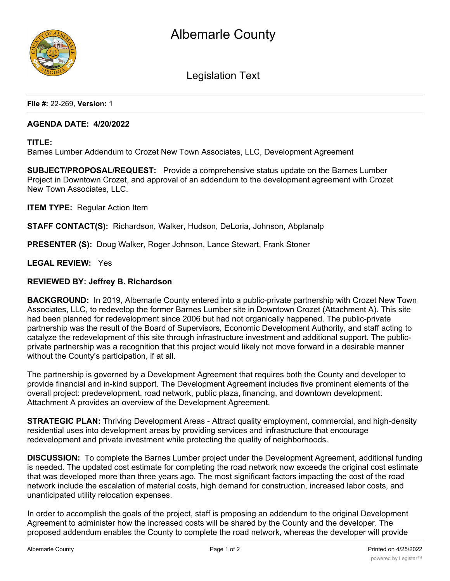

Legislation Text

**File #:** 22-269, **Version:** 1

## **AGENDA DATE: 4/20/2022**

**TITLE:**

Barnes Lumber Addendum to Crozet New Town Associates, LLC, Development Agreement

**SUBJECT/PROPOSAL/REQUEST:** Provide a comprehensive status update on the Barnes Lumber Project in Downtown Crozet, and approval of an addendum to the development agreement with Crozet New Town Associates, LLC.

**ITEM TYPE:** Regular Action Item

**STAFF CONTACT(S):** Richardson, Walker, Hudson, DeLoria, Johnson, Abplanalp

**PRESENTER (S):** Doug Walker, Roger Johnson, Lance Stewart, Frank Stoner

**LEGAL REVIEW:** Yes

#### **REVIEWED BY: Jeffrey B. Richardson**

**BACKGROUND:** In 2019, Albemarle County entered into a public-private partnership with Crozet New Town Associates, LLC, to redevelop the former Barnes Lumber site in Downtown Crozet (Attachment A). This site had been planned for redevelopment since 2006 but had not organically happened. The public-private partnership was the result of the Board of Supervisors, Economic Development Authority, and staff acting to catalyze the redevelopment of this site through infrastructure investment and additional support. The publicprivate partnership was a recognition that this project would likely not move forward in a desirable manner without the County's participation, if at all.

The partnership is governed by a Development Agreement that requires both the County and developer to provide financial and in-kind support. The Development Agreement includes five prominent elements of the overall project: predevelopment, road network, public plaza, financing, and downtown development. Attachment A provides an overview of the Development Agreement.

**STRATEGIC PLAN:** Thriving Development Areas - Attract quality employment, commercial, and high-density residential uses into development areas by providing services and infrastructure that encourage redevelopment and private investment while protecting the quality of neighborhoods.

**DISCUSSION:** To complete the Barnes Lumber project under the Development Agreement, additional funding is needed. The updated cost estimate for completing the road network now exceeds the original cost estimate that was developed more than three years ago. The most significant factors impacting the cost of the road network include the escalation of material costs, high demand for construction, increased labor costs, and unanticipated utility relocation expenses.

In order to accomplish the goals of the project, staff is proposing an addendum to the original Development Agreement to administer how the increased costs will be shared by the County and the developer. The proposed addendum enables the County to complete the road network, whereas the developer will provide